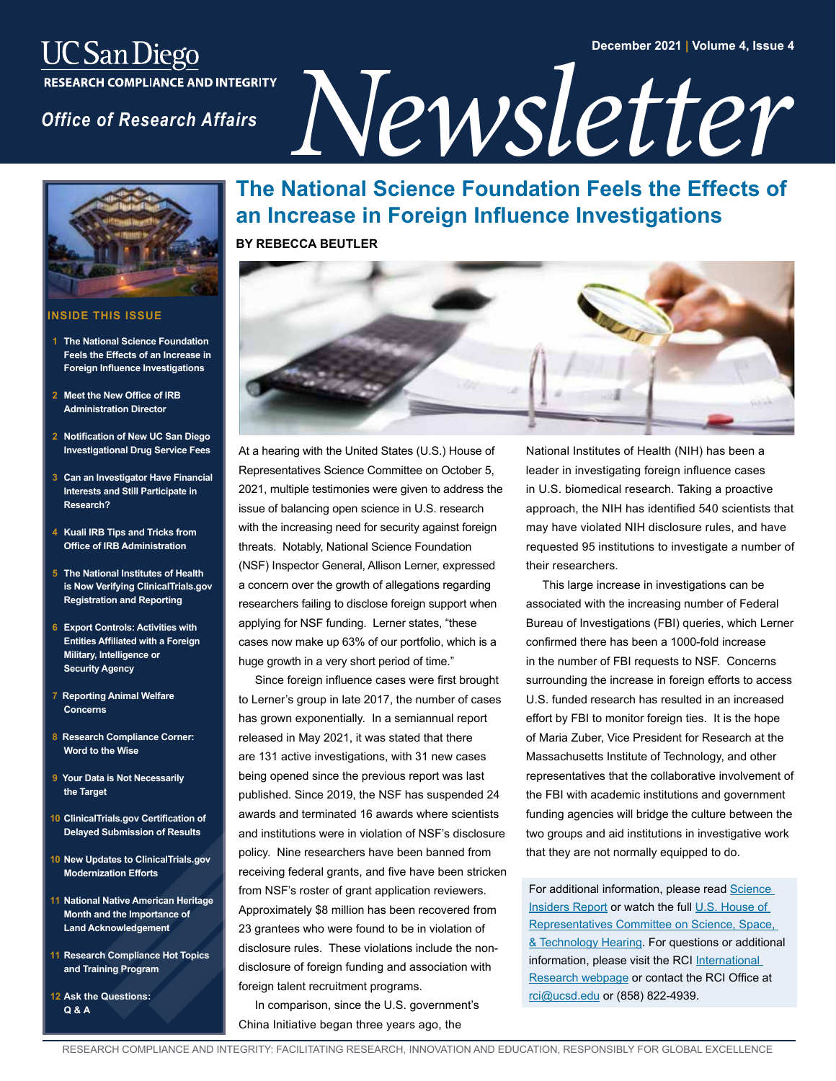#### **December 2021 | Volume 4, Issue 4**

# *UC San Diego<br>
RESEARCH COMPLIANCE AND INTEGRITY<br>
Office of Research Affairs<br>*  $\sum_{\text{DE}}$



#### **INSIDE THIS ISSUE**

- **The National Science Foundation Feels the Effects of an Increase in Foreign Influence Investigations**
- **2 [Meet the New Office of IRB](#page-1-0)  Administration Director**
- **2 [Notification of New UC San Diego](#page-1-0)  Investigational Drug Service Fees**
- **3 [Can an Investigator Have Financial](#page-2-0)  Interests and Still Participate in Research?**
- **4 [Kuali IRB Tips and Tricks from](#page-3-0)  Office of IRB Administration**
- **5 The National Institutes of Health [is Now Verifying ClinicalTrials.gov](#page-4-0) Registration and Reporting**
- **6 Export Controls: Activities with [Entities Affiliated with a Foreign](#page-5-0)  Military, Intelligence or Security Agency**
- **7 [Reporting Animal Welfare](#page-6-0)  Concerns**
- **8 [Research Compliance Corner:](#page-7-0)  Word to the Wise**
- **[9 Your Data is Not Necessarily](#page-8-0)  the Target**
- **10 ClinicalTrials.gov Certification of [Delayed Submission of Results](#page-9-0)**
- **10 [New Updates to ClinicalTrials.gov](#page-9-0)  Modernization Efforts**
- **11 [National Native American Heritage](#page-10-0)  Month and the Importance of Land Acknowledgement**
- **11 [Research Compliance Hot Topics](#page-10-0)  and Training Program**
- **12 [Ask the Questions:](#page-11-0)  Q & A**

## **The National Science Foundation Feels the Effects of an Increase in Foreign Influence Investigations**

**BY REBECCA BEUTLER**



At a hearing with the United States (U.S.) House of Representatives Science Committee on October 5, 2021, multiple testimonies were given to address the issue of balancing open science in U.S. research with the increasing need for security against foreign threats. Notably, National Science Foundation (NSF) Inspector General, Allison Lerner, expressed a concern over the growth of allegations regarding researchers failing to disclose foreign support when applying for NSF funding. Lerner states, "these cases now make up 63% of our portfolio, which is a huge growth in a very short period of time."

Since foreign influence cases were first brought to Lerner's group in late 2017, the number of cases has grown exponentially. In a semiannual report released in May 2021, it was stated that there are 131 active investigations, with 31 new cases being opened since the previous report was last published. Since 2019, the NSF has suspended 24 awards and terminated 16 awards where scientists and institutions were in violation of NSF's disclosure policy. Nine researchers have been banned from receiving federal grants, and five have been stricken from NSF's roster of grant application reviewers. Approximately \$8 million has been recovered from 23 grantees who were found to be in violation of disclosure rules. These violations include the nondisclosure of foreign funding and association with foreign talent recruitment programs.

In comparison, since the U.S. government's China Initiative began three years ago, the

National Institutes of Health (NIH) has been a leader in investigating foreign influence cases in U.S. biomedical research. Taking a proactive approach, the NIH has identified 540 scientists that may have violated NIH disclosure rules, and have requested 95 institutions to investigate a number of their researchers.

This large increase in investigations can be associated with the increasing number of Federal Bureau of Investigations (FBI) queries, which Lerner confirmed there has been a 1000-fold increase in the number of FBI requests to NSF. Concerns surrounding the increase in foreign efforts to access U.S. funded research has resulted in an increased effort by FBI to monitor foreign ties. It is the hope of Maria Zuber, Vice President for Research at the Massachusetts Institute of Technology, and other representatives that the collaborative involvement of the FBI with academic institutions and government funding agencies will bridge the culture between the two groups and aid institutions in investigative work that they are not normally equipped to do.

For additional information, please read Science [Insiders Report](https://www.science.org/content/article/top-u-s-science-funder-says-it-swamped-investigations-foreign-influence-grantees) or watch the full [U.S. House of](https://science.house.gov/hearings/balancing-open-science-and-security-in-the-us-research-enterprise)  [Representatives Committee on Science, Space,](https://science.house.gov/hearings/balancing-open-science-and-security-in-the-us-research-enterprise)  [& Technology Hearing](https://science.house.gov/hearings/balancing-open-science-and-security-in-the-us-research-enterprise). For questions or additional information, please visit the RCI International [Research webpage](https://blink.ucsd.edu/research/international-research.html) or contact the RCI Office at [rci@ucsd.edu](mailto:rci%40ucsd.edu?subject=) or (858) 822-4939.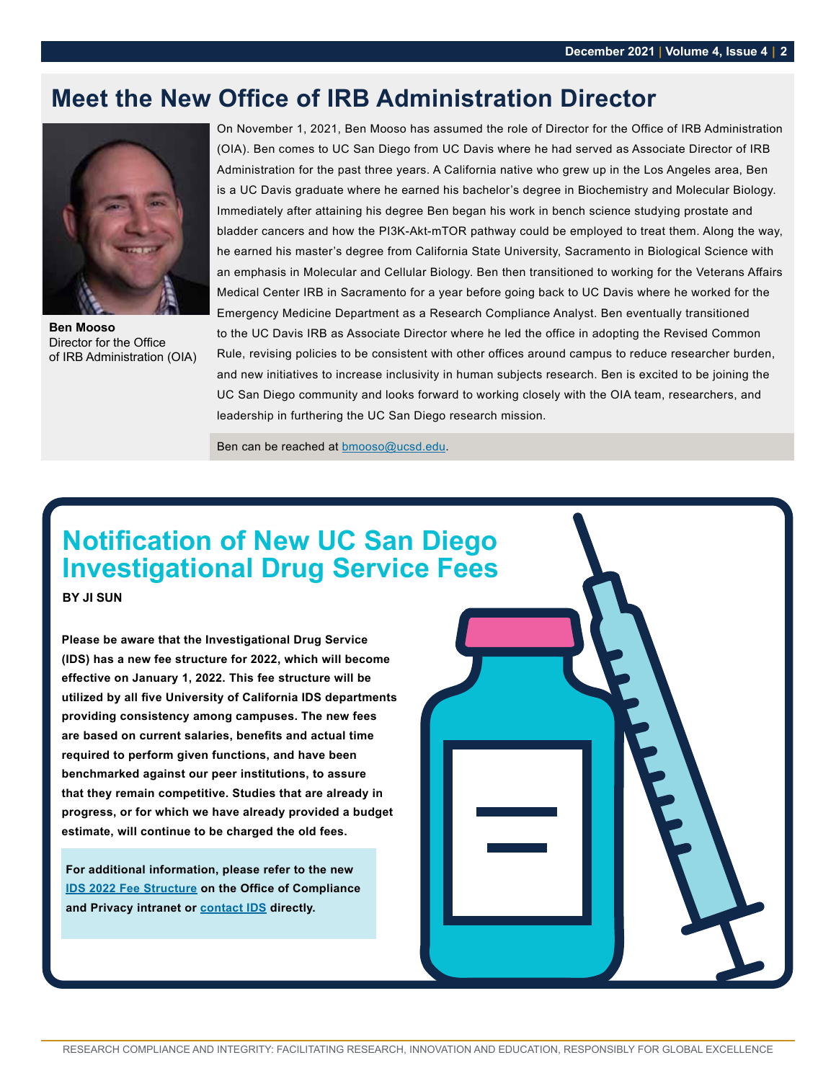## <span id="page-1-0"></span>**Meet the New Office of IRB Administration Director**



**Ben Mooso** Director for the Office of IRB Administration (OIA)

On November 1, 2021, Ben Mooso has assumed the role of Director for the Office of IRB Administration (OIA). Ben comes to UC San Diego from UC Davis where he had served as Associate Director of IRB Administration for the past three years. A California native who grew up in the Los Angeles area, Ben is a UC Davis graduate where he earned his bachelor's degree in Biochemistry and Molecular Biology. Immediately after attaining his degree Ben began his work in bench science studying prostate and bladder cancers and how the PI3K-Akt-mTOR pathway could be employed to treat them. Along the way, he earned his master's degree from California State University, Sacramento in Biological Science with an emphasis in Molecular and Cellular Biology. Ben then transitioned to working for the Veterans Affairs Medical Center IRB in Sacramento for a year before going back to UC Davis where he worked for the Emergency Medicine Department as a Research Compliance Analyst. Ben eventually transitioned to the UC Davis IRB as Associate Director where he led the office in adopting the Revised Common Rule, revising policies to be consistent with other offices around campus to reduce researcher burden, and new initiatives to increase inclusivity in human subjects research. Ben is excited to be joining the UC San Diego community and looks forward to working closely with the OIA team, researchers, and leadership in furthering the UC San Diego research mission.

Ben can be reached at [bmooso@ucsd.edu](mailto:bmooso%40ucsd.edu?subject=).

## **Notification of New UC San Diego Investigational Drug Service Fees**

**BY JI SUN**

**Please be aware that the Investigational Drug Service (IDS) has a new fee structure for 2022, which will become effective on January 1, 2022. This fee structure will be utilized by all five University of California IDS departments providing consistency among campuses. The new fees are based on current salaries, benefits and actual time required to perform given functions, and have been benchmarked against our peer institutions, to assure that they remain competitive. Studies that are already in progress, or for which we have already provided a budget estimate, will continue to be charged the old fees.** 

**For additional information, please refer to the new [IDS 2022 Fee Structure](https://pulse.ucsd.edu/departments/compliance/resources/research-resources/Research Related UCSD Departments/Pages/drug-services.aspx) on the Office of Compliance and Privacy intranet or [contact IDS](https://pulse.ucsd.edu/departments/compliance/resources/research-resources/Research Related UCSD Departments/Pages/drug-services.aspx) directly.**

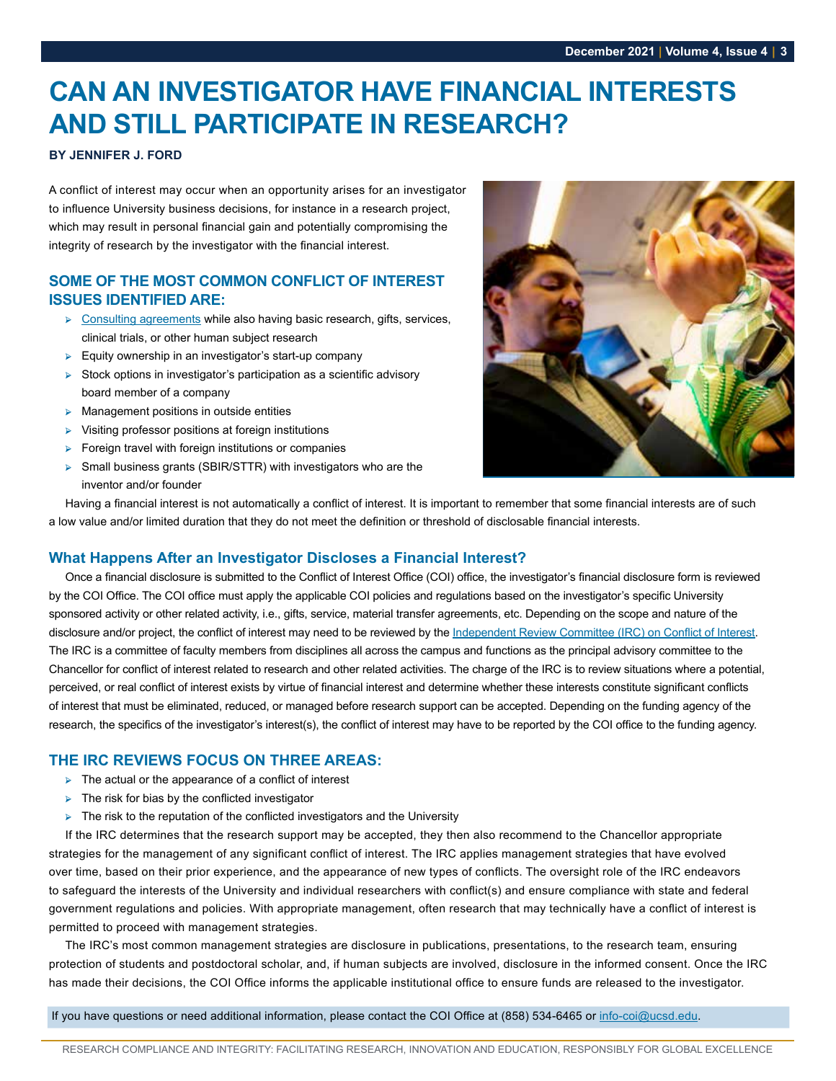## <span id="page-2-0"></span>**CAN AN INVESTIGATOR HAVE FINANCIAL INTERESTS AND STILL PARTICIPATE IN RESEARCH?**

#### **BY JENNIFER J. FORD**

A conflict of interest may occur when an opportunity arises for an investigator to influence University business decisions, for instance in a research project, which may result in personal financial gain and potentially compromising the integrity of research by the investigator with the financial interest.

#### **SOME OF THE MOST COMMON CONFLICT OF INTEREST ISSUES IDENTIFIED ARE:**

- ➢ [Consulting agreements](https://blink.ucsd.edu/_files/coi/IRC_MS_PCAs_ICAs.pdf) while also having basic research, gifts, services, clinical trials, or other human subject research
- ➢ Equity ownership in an investigator's start-up company
- ➢ Stock options in investigator's participation as a scientific advisory board member of a company
- $\triangleright$  Management positions in outside entities
- ➢ Visiting professor positions at foreign institutions
- ➢ Foreign travel with foreign institutions or companies
- ➢ Small business grants (SBIR/STTR) with investigators who are the inventor and/or founder



Having a financial interest is not automatically a conflict of interest. It is important to remember that some financial interests are of such a low value and/or limited duration that they do not meet the definition or threshold of disclosable financial interests.

#### **What Happens After an Investigator Discloses a Financial Interest?**

Once a financial disclosure is submitted to the Conflict of Interest Office (COI) office, the investigator's financial disclosure form is reviewed by the COI Office. The COI office must apply the applicable COI policies and regulations based on the investigator's specific University sponsored activity or other related activity, i.e., gifts, service, material transfer agreements, etc. Depending on the scope and nature of the disclosure and/or project, the conflict of interest may need to be reviewed by the [Independent Review Committee \(IRC\) on Conflict of Interest](https://blink.ucsd.edu/sponsor/coi/irc.html). The IRC is a committee of faculty members from disciplines all across the campus and functions as the principal advisory committee to the Chancellor for conflict of interest related to research and other related activities. The charge of the IRC is to review situations where a potential, perceived, or real conflict of interest exists by virtue of financial interest and determine whether these interests constitute significant conflicts of interest that must be eliminated, reduced, or managed before research support can be accepted. Depending on the funding agency of the research, the specifics of the investigator's interest(s), the conflict of interest may have to be reported by the COI office to the funding agency.

#### **THE IRC REVIEWS FOCUS ON THREE AREAS:**

- ➢ The actual or the appearance of a conflict of interest
- $\triangleright$  The risk for bias by the conflicted investigator
- $\triangleright$  The risk to the reputation of the conflicted investigators and the University

If the IRC determines that the research support may be accepted, they then also recommend to the Chancellor appropriate strategies for the management of any significant conflict of interest. The IRC applies management strategies that have evolved over time, based on their prior experience, and the appearance of new types of conflicts. The oversight role of the IRC endeavors to safeguard the interests of the University and individual researchers with conflict(s) and ensure compliance with state and federal government regulations and policies. With appropriate management, often research that may technically have a conflict of interest is permitted to proceed with management strategies.

The IRC's most common management strategies are disclosure in publications, presentations, to the research team, ensuring protection of students and postdoctoral scholar, and, if human subjects are involved, disclosure in the informed consent. Once the IRC has made their decisions, the COI Office informs the applicable institutional office to ensure funds are released to the investigator.

If you have questions or need additional information, please contact the COI Office at (858) 534-6465 or [info-coi@ucsd.edu](mailto:info-coi%40ucsd.edu?subject=).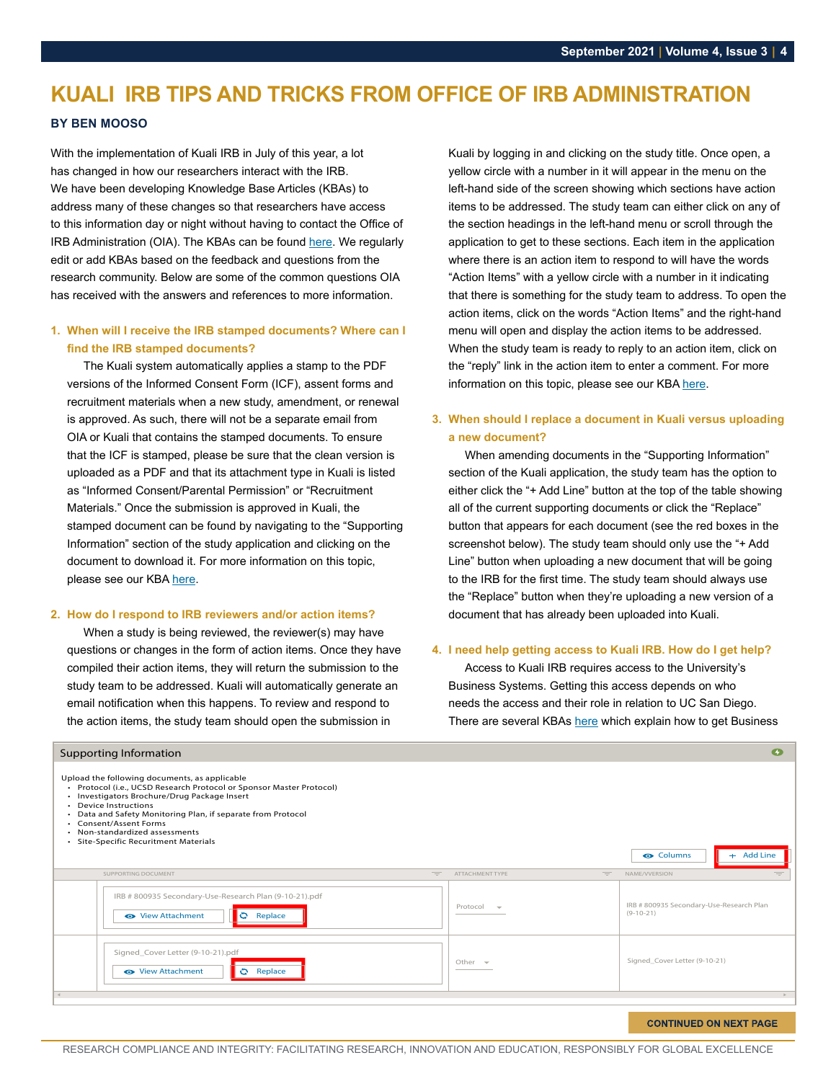## <span id="page-3-0"></span>**KUALI IRB TIPS AND TRICKS FROM OFFICE OF IRB ADMINISTRATION**

#### **BY BEN MOOSO**

With the implementation of Kuali IRB in July of this year, a lot has changed in how our researchers interact with the IRB. We have been developing Knowledge Base Articles (KBAs) to address many of these changes so that researchers have access to this information day or night without having to contact the Office of IRB Administration (OIA). The KBAs can be found [here](https://support.ucsd.edu/research?id=kb_category&kb_category=6a80ba0a1b99f01048e9cae5604bcb52&kb_id=e8c95c82dbfd0450008c9837db9619c1). We regularly edit or add KBAs based on the feedback and questions from the research community. Below are some of the common questions OIA has received with the answers and references to more information.

#### **1. When will I receive the IRB stamped documents? Where can I find the IRB stamped documents?**

The Kuali system automatically applies a stamp to the PDF versions of the Informed Consent Form (ICF), assent forms and recruitment materials when a new study, amendment, or renewal is approved. As such, there will not be a separate email from OIA or Kuali that contains the stamped documents. To ensure that the ICF is stamped, please be sure that the clean version is uploaded as a PDF and that its attachment type in Kuali is listed as "Informed Consent/Parental Permission" or "Recruitment Materials." Once the submission is approved in Kuali, the stamped document can be found by navigating to the "Supporting Information" section of the study application and clicking on the document to download it. For more information on this topic, please see our KBA [here](https://support.ucsd.edu/research?id=kb_article_view&sysparm_article=KB0033732&sys_kb_id=267a3d521b3f30d4b8d255b5604bcbb1).

#### **2. How do I respond to IRB reviewers and/or action items?**

When a study is being reviewed, the reviewer(s) may have questions or changes in the form of action items. Once they have compiled their action items, they will return the submission to the study team to be addressed. Kuali will automatically generate an email notification when this happens. To review and respond to the action items, the study team should open the submission in

#### Supporting Information

Upload the following documents, as applicable

• Protocol (i.e., UCSD Research Protocol or Sponsor Master Protocol)

Kuali by logging in and clicking on the study title. Once open, a yellow circle with a number in it will appear in the menu on the left-hand side of the screen showing which sections have action items to be addressed. The study team can either click on any of the section headings in the left-hand menu or scroll through the application to get to these sections. Each item in the application where there is an action item to respond to will have the words "Action Items" with a yellow circle with a number in it indicating that there is something for the study team to address. To open the action items, click on the words "Action Items" and the right-hand menu will open and display the action items to be addressed. When the study team is ready to reply to an action item, click on the "reply" link in the action item to enter a comment. For more information on this topic, please see our KBA [here](https://support.ucsd.edu/research?id=kb_article_view&sys_kb_id=710bfc1e1b52b850b8d255b5604bcb13).

#### **3. When should I replace a document in Kuali versus uploading a new document?**

When amending documents in the "Supporting Information" section of the Kuali application, the study team has the option to either click the "+ Add Line" button at the top of the table showing all of the current supporting documents or click the "Replace" button that appears for each document (see the red boxes in the screenshot below). The study team should only use the "+ Add Line" button when uploading a new document that will be going to the IRB for the first time. The study team should always use the "Replace" button when they're uploading a new version of a document that has already been uploaded into Kuali.

#### **4. I need help getting access to Kuali IRB. How do I get help?**

Access to Kuali IRB requires access to the University's Business Systems. Getting this access depends on who needs the access and their role in relation to UC San Diego. T[here](https://support.ucsd.edu/research?id=kb_category&kb_category=d1833dc01b29b81048e9cae5604bcbef&kb_id=e8c95c82dbfd0450008c9837db9619c1) are several KBAs here which explain how to get Business

| • Investigators Brochure/Drug Package Insert<br>• Device Instructions<br>Data and Safety Monitoring Plan, if separate from Protocol<br>• Consent/Assent Forms<br>• Non-standardized assessments<br>Site-Specific Recuritment Materials |          |                          |     | <b>O</b> Columns                                        | $+$ Add Line |
|----------------------------------------------------------------------------------------------------------------------------------------------------------------------------------------------------------------------------------------|----------|--------------------------|-----|---------------------------------------------------------|--------------|
| SUPPORTING DOCUMENT                                                                                                                                                                                                                    | $=$      | ATTACHMENT TYPE          | $=$ | NAME/VVERSION                                           | $\equiv$     |
| IRB # 800935 Secondary-Use-Research Plan (9-10-21).pdf<br>Replace<br>lo<br>← View Attachment                                                                                                                                           | Protocol | $\overline{\phantom{a}}$ |     | IRB # 800935 Secondary-Use-Research Plan<br>$(9-10-21)$ |              |
| Signed_Cover Letter (9-10-21).pdf<br>← View Attachment<br>$\circ$<br>Replace                                                                                                                                                           |          | Other $\sim$             |     | Signed_Cover Letter (9-10-21)                           |              |
| $\sim$                                                                                                                                                                                                                                 |          |                          |     |                                                         | P.           |
|                                                                                                                                                                                                                                        |          |                          |     |                                                         |              |

#### **CONTINUED ON NEXT PAGE**

 $\bullet$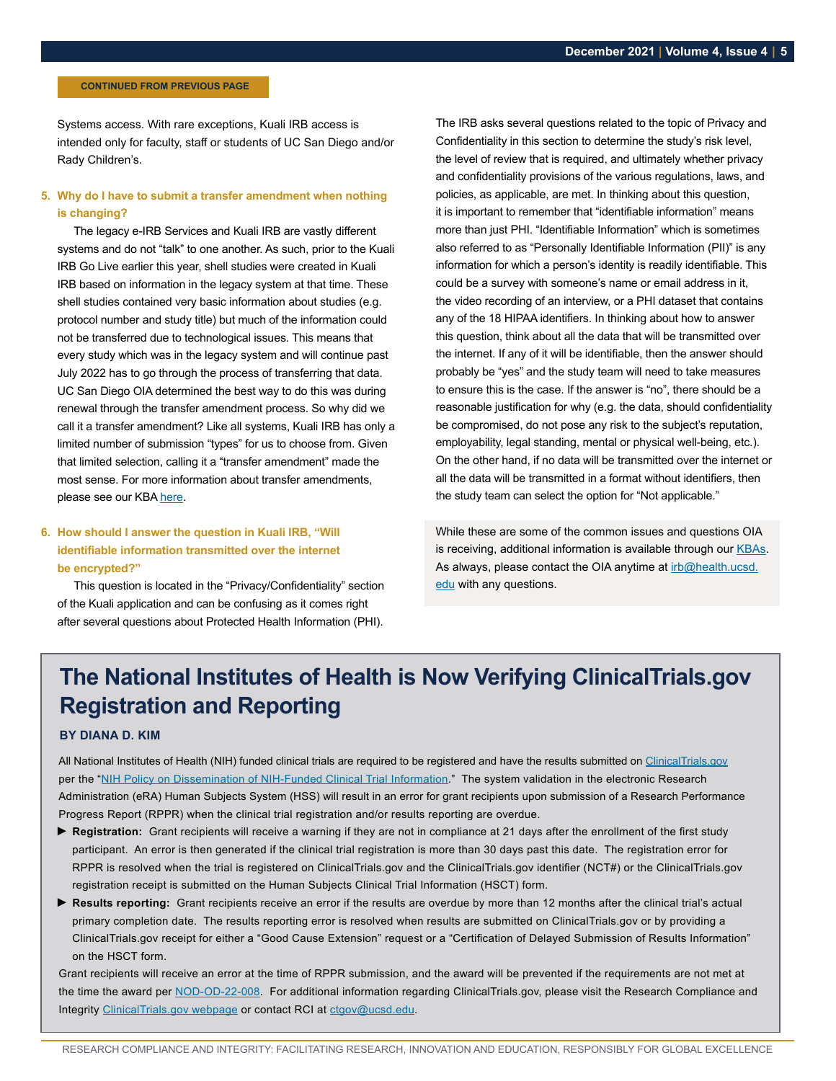#### <span id="page-4-0"></span> **CONTINUED FROM PREVIOUS PAGE**

Systems access. With rare exceptions, Kuali IRB access is intended only for faculty, staff or students of UC San Diego and/or Rady Children's.

#### **5. Why do I have to submit a transfer amendment when nothing is changing?**

The legacy e-IRB Services and Kuali IRB are vastly different systems and do not "talk" to one another. As such, prior to the Kuali IRB Go Live earlier this year, shell studies were created in Kuali IRB based on information in the legacy system at that time. These shell studies contained very basic information about studies (e.g. protocol number and study title) but much of the information could not be transferred due to technological issues. This means that every study which was in the legacy system and will continue past July 2022 has to go through the process of transferring that data. UC San Diego OIA determined the best way to do this was during renewal through the transfer amendment process. So why did we call it a transfer amendment? Like all systems, Kuali IRB has only a limited number of submission "types" for us to choose from. Given that limited selection, calling it a "transfer amendment" made the most sense. For more information about transfer amendments, please see our KBA [here](https://support.ucsd.edu/research?id=kb_article_view&sys_kb_id=74ffda7e1bfe3c1cb8d255b5604bcb22).

#### **6. How should I answer the question in Kuali IRB, "Will identifiable information transmitted over the internet be encrypted?"**

This question is located in the "Privacy/Confidentiality" section of the Kuali application and can be confusing as it comes right after several questions about Protected Health Information (PHI).

The IRB asks several questions related to the topic of Privacy and Confidentiality in this section to determine the study's risk level, the level of review that is required, and ultimately whether privacy and confidentiality provisions of the various regulations, laws, and policies, as applicable, are met. In thinking about this question, it is important to remember that "identifiable information" means more than just PHI. "Identifiable Information" which is sometimes also referred to as "Personally Identifiable Information (PII)" is any information for which a person's identity is readily identifiable. This could be a survey with someone's name or email address in it, the video recording of an interview, or a PHI dataset that contains any of the 18 HIPAA identifiers. In thinking about how to answer this question, think about all the data that will be transmitted over the internet. If any of it will be identifiable, then the answer should probably be "yes" and the study team will need to take measures to ensure this is the case. If the answer is "no", there should be a reasonable justification for why (e.g. the data, should confidentiality be compromised, do not pose any risk to the subject's reputation, employability, legal standing, mental or physical well-being, etc.). On the other hand, if no data will be transmitted over the internet or all the data will be transmitted in a format without identifiers, then the study team can select the option for "Not applicable."

While these are some of the common issues and questions OIA is receiving, additional information is available through our [KBAs](https://support.ucsd.edu/research?id=kb_category&kb_category=6a80ba0a1b99f01048e9cae5604bcb52&kb_id=e8c95c82dbfd0450008c9837db9619c1). As always, please contact the OIA anytime at [irb@health.ucsd.](mailto:irb%40health.ucsd.edu?subject=) [edu](mailto:irb%40health.ucsd.edu?subject=) with any questions.

## **The National Institutes of Health is Now Verifying ClinicalTrials.gov Registration and Reporting**

#### **BY DIANA D. KIM**

All National Institutes of Health (NIH) funded clinical trials are required to be registered and have the results submitted on [ClinicalTrials.gov](https://clinicaltrials.gov/) per the ["NIH Policy on Dissemination of NIH-Funded Clinical Trial Information](https://grants.nih.gov/policy/clinical-trials/reporting/understanding/nih-policy.htm)." The system validation in the electronic Research Administration (eRA) Human Subjects System (HSS) will result in an error for grant recipients upon submission of a Research Performance Progress Report (RPPR) when the clinical trial registration and/or results reporting are overdue.

- ► **Registration:** Grant recipients will receive a warning if they are not in compliance at 21 days after the enrollment of the first study participant. An error is then generated if the clinical trial registration is more than 30 days past this date. The registration error for RPPR is resolved when the trial is registered on ClinicalTrials.gov and the ClinicalTrials.gov identifier (NCT#) or the ClinicalTrials.gov registration receipt is submitted on the Human Subjects Clinical Trial Information (HSCT) form.
- ► **Results reporting:** Grant recipients receive an error if the results are overdue by more than 12 months after the clinical trial's actual primary completion date. The results reporting error is resolved when results are submitted on ClinicalTrials.gov or by providing a ClinicalTrials.gov receipt for either a "Good Cause Extension" request or a "Certification of Delayed Submission of Results Information" on the HSCT form.

Grant recipients will receive an error at the time of RPPR submission, and the award will be prevented if the requirements are not met at the time the award per [NOD-OD-22-008.](https://grants.nih.gov/grants/guide/notice-files/NOT-OD-22-008.html) For additional information regarding ClinicalTrials.gov, please visit the Research Compliance and Integrity [ClinicalTrials.gov webpage](https://blink.ucsd.edu/sponsor/rci/clinical-trials.html) or contact RCI at [ctgov@ucsd.edu](mailto:ctgov%40ucsd.edu?subject=).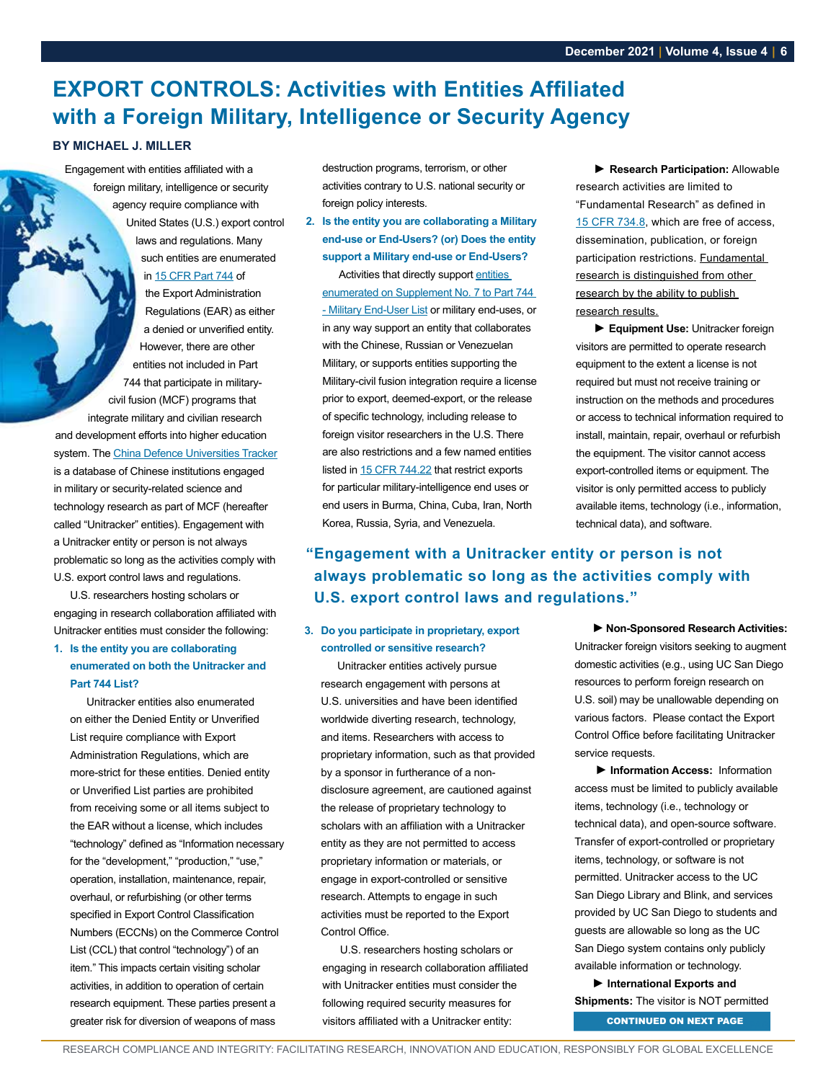## <span id="page-5-0"></span>**EXPORT CONTROLS: Activities with Entities Affiliated with a Foreign Military, Intelligence or Security Agency**

#### **BY MICHAEL J. MILLER**

Engagement with entities affiliated with a foreign military, intelligence or security agency require compliance with United States (U.S.) export control laws and regulations. Many such entities are enumerated in [15 CFR Part 744](https://www.bis.doc.gov/index.php/documents/regulations-docs/2343-part-744-control-policy-end-user-and-end-use-based-2/file) of the Export Administration Regulations (EAR) as either a denied or unverified entity. However, there are other entities not included in Part 744 that participate in militarycivil fusion (MCF) programs that integrate military and civilian research and development efforts into higher education system. The [China Defence Universities Tracker](https://unitracker.aspi.org.au/) is a database of Chinese institutions engaged in military or security-related science and technology research as part of MCF (hereafter called "Unitracker" entities). Engagement with a Unitracker entity or person is not always problematic so long as the activities comply with U.S. export control laws and regulations.

U.S. researchers hosting scholars or engaging in research collaboration affiliated with Unitracker entities must consider the following:

#### **1. Is the entity you are collaborating enumerated on both the Unitracker and Part 744 List?**

Unitracker entities also enumerated on either the Denied Entity or Unverified List require compliance with Export Administration Regulations, which are more-strict for these entities. Denied entity or Unverified List parties are prohibited from receiving some or all items subject to the EAR without a license, which includes "technology" defined as "Information necessary for the "development," "production," "use," operation, installation, maintenance, repair, overhaul, or refurbishing (or other terms specified in Export Control Classification Numbers (ECCNs) on the Commerce Control List (CCL) that control "technology") of an item." This impacts certain visiting scholar activities, in addition to operation of certain research equipment. These parties present a greater risk for diversion of weapons of mass

destruction programs, terrorism, or other activities contrary to U.S. national security or foreign policy interests.

**2. Is the entity you are collaborating a Military end-use or End-Users? (or) Does the entity support a Military end-use or End-Users?**

Activities that directly support [entities](https://www.bis.doc.gov/index.php/documents/regulations-docs/2714-supplement-no-7-to-part-744-military-end-user-meu-list/file)  [enumerated on Supplement No. 7 to Part 744](https://www.bis.doc.gov/index.php/documents/regulations-docs/2714-supplement-no-7-to-part-744-military-end-user-meu-list/file)  [- Military End-User List](https://www.bis.doc.gov/index.php/documents/regulations-docs/2714-supplement-no-7-to-part-744-military-end-user-meu-list/file) or military end-uses, or in any way support an entity that collaborates with the Chinese, Russian or Venezuelan Military, or supports entities supporting the Military-civil fusion integration require a license prior to export, deemed-export, or the release of specific technology, including release to foreign visitor researchers in the U.S. There are also restrictions and a few named entities listed in [15 CFR 744.22](https://www.ecfr.gov/cgi-bin/text-idx?SID=dd221be9fc6947d68faa3e6c4605c67b&mc=true&node=se15.2.744_122&rgn=div8) that restrict exports for particular military-intelligence end uses or end users in Burma, China, Cuba, Iran, North Korea, Russia, Syria, and Venezuela.

**► Research Participation:** Allowable research activities are limited to "Fundamental Research" as defined in [15 CFR 734.8,](https://www.bis.doc.gov/index.php/documents/regulations-docs/2382-part-734-scope-of-the-export-administration-regulations-1/file) which are free of access, dissemination, publication, or foreign participation restrictions. Fundamental research is distinguished from other research by the ability to publish research results.

**► Equipment Use:** Unitracker foreign visitors are permitted to operate research equipment to the extent a license is not required but must not receive training or instruction on the methods and procedures or access to technical information required to install, maintain, repair, overhaul or refurbish the equipment. The visitor cannot access export-controlled items or equipment. The visitor is only permitted access to publicly available items, technology (i.e., information, technical data), and software.

#### **"Engagement with a Unitracker entity or person is not always problematic so long as the activities comply with U.S. export control laws and regulations."**

#### **3. Do you participate in proprietary, export controlled or sensitive research?**

Unitracker entities actively pursue research engagement with persons at U.S. universities and have been identified worldwide diverting research, technology, and items. Researchers with access to proprietary information, such as that provided by a sponsor in furtherance of a nondisclosure agreement, are cautioned against the release of proprietary technology to scholars with an affiliation with a Unitracker entity as they are not permitted to access proprietary information or materials, or engage in export-controlled or sensitive research. Attempts to engage in such activities must be reported to the Export Control Office.

U.S. researchers hosting scholars or engaging in research collaboration affiliated with Unitracker entities must consider the following required security measures for visitors affiliated with a Unitracker entity: CONTINUED ON NEXT PAGE

**►Non-Sponsored Research Activities:** Unitracker foreign visitors seeking to augment domestic activities (e.g., using UC San Diego resources to perform foreign research on U.S. soil) may be unallowable depending on various factors. Please contact the Export Control Office before facilitating Unitracker service requests.

**► Information Access:** Information access must be limited to publicly available items, technology (i.e., technology or technical data), and open-source software. Transfer of export-controlled or proprietary items, technology, or software is not permitted. Unitracker access to the UC San Diego Library and Blink, and services provided by UC San Diego to students and guests are allowable so long as the UC San Diego system contains only publicly available information or technology.

**► International Exports and Shipments:** The visitor is NOT permitted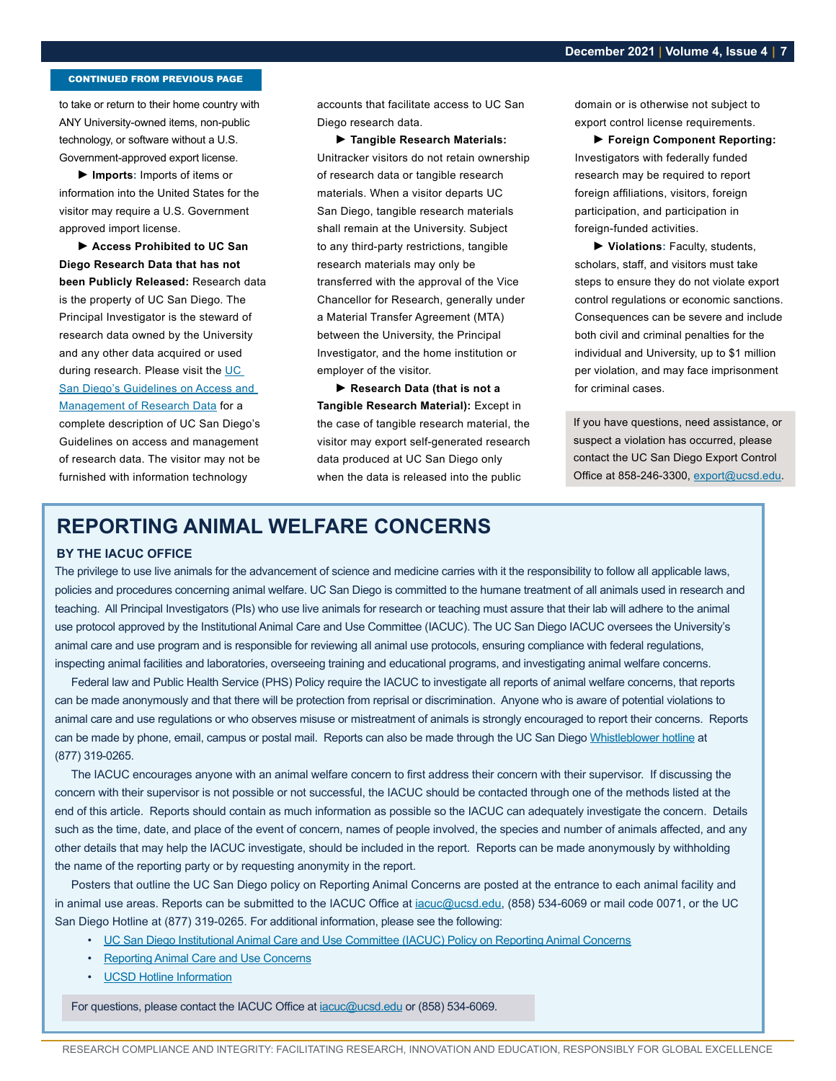#### <span id="page-6-0"></span>CONTINUED FROM PREVIOUS PAGE

to take or return to their home country with ANY University-owned items, non-public technology, or software without a U.S. Government-approved export license.

**► Imports:** Imports of items or information into the United States for the visitor may require a U.S. Government approved import license.

**► Access Prohibited to UC San Diego Research Data that has not been Publicly Released:** Research data is the property of UC San Diego. The Principal Investigator is the steward of research data owned by the University and any other data acquired or used during research. Please visit the UC [San Diego's Guidelines on Access and](https://blink.ucsd.edu/research/policies-compliance-ethics/guidelines.html)  [Management of Research Data](https://blink.ucsd.edu/research/policies-compliance-ethics/guidelines.html) for a complete description of UC San Diego's Guidelines on access and management of research data. The visitor may not be furnished with information technology

accounts that facilitate access to UC San Diego research data.

**► Tangible Research Materials:**  Unitracker visitors do not retain ownership of research data or tangible research materials. When a visitor departs UC San Diego, tangible research materials shall remain at the University. Subject to any third-party restrictions, tangible research materials may only be transferred with the approval of the Vice Chancellor for Research, generally under a Material Transfer Agreement (MTA) between the University, the Principal Investigator, and the home institution or employer of the visitor.

**► Research Data (that is not a Tangible Research Material):** Except in the case of tangible research material, the visitor may export self-generated research data produced at UC San Diego only when the data is released into the public

domain or is otherwise not subject to export control license requirements.

**► Foreign Component Reporting:** Investigators with federally funded research may be required to report foreign affiliations, visitors, foreign participation, and participation in foreign-funded activities.

**► Violations:** Faculty, students, scholars, staff, and visitors must take steps to ensure they do not violate export control regulations or economic sanctions. Consequences can be severe and include both civil and criminal penalties for the individual and University, up to \$1 million per violation, and may face imprisonment for criminal cases.

If you have questions, need assistance, or suspect a violation has occurred, please contact the UC San Diego Export Control Office at 858-246-3300, [export@ucsd.edu](mailto:export%40ucsd.edu?subject=).

## **REPORTING ANIMAL WELFARE CONCERNS**

#### **BY THE IACUC OFFICE**

The privilege to use live animals for the advancement of science and medicine carries with it the responsibility to follow all applicable laws, policies and procedures concerning animal welfare. UC San Diego is committed to the humane treatment of all animals used in research and teaching. All Principal Investigators (PIs) who use live animals for research or teaching must assure that their lab will adhere to the animal use protocol approved by the Institutional Animal Care and Use Committee (IACUC). The UC San Diego IACUC oversees the University's animal care and use program and is responsible for reviewing all animal use protocols, ensuring compliance with federal regulations, inspecting animal facilities and laboratories, overseeing training and educational programs, and investigating animal welfare concerns.

Federal law and Public Health Service (PHS) Policy require the IACUC to investigate all reports of animal welfare concerns, that reports can be made anonymously and that there will be protection from reprisal or discrimination. Anyone who is aware of potential violations to animal care and use regulations or who observes misuse or mistreatment of animals is strongly encouraged to report their concerns. Reports can be made by phone, email, campus or postal mail. Reports can also be made through the UC San Diego [Whistleblower hotline](https://blink.ucsd.edu/HR/supervising/resources/hotline.html) at (877) 319-0265.

The IACUC encourages anyone with an animal welfare concern to first address their concern with their supervisor. If discussing the concern with their supervisor is not possible or not successful, the IACUC should be contacted through one of the methods listed at the end of this article. Reports should contain as much information as possible so the IACUC can adequately investigate the concern. Details such as the time, date, and place of the event of concern, names of people involved, the species and number of animals affected, and any other details that may help the IACUC investigate, should be included in the report. Reports can be made anonymously by withholding the name of the reporting party or by requesting anonymity in the report.

Posters that outline the UC San Diego policy on Reporting Animal Concerns are posted at the entrance to each animal facility and in animal use areas. Reports can be submitted to the IACUC Office at [iacuc@ucsd.edu](mailto:iacuc%40ucsd.edu?subject=), (858) 534-6069 or mail code 0071, or the UC San Diego Hotline at (877) 319-0265. For additional information, please see the following:

- [UC San Diego Institutional Animal Care and Use Committee \(IACUC\) Policy on Reporting Animal Concerns](http://blink.ucsd.edu/_files/sponsor-tab/iacuc/Policy 1 Concerns.pdf)
- [Reporting Animal Care and Use Concerns](http://blink.ucsd.edu/sponsor/iacuc/reporting.html)
- [UCSD Hotline Information](https://blink.ucsd.edu/HR/supervising/resources/hotline.html)

For questions, please contact the IACUC Office at **iacuc@ucsd.edu** or (858) 534-6069.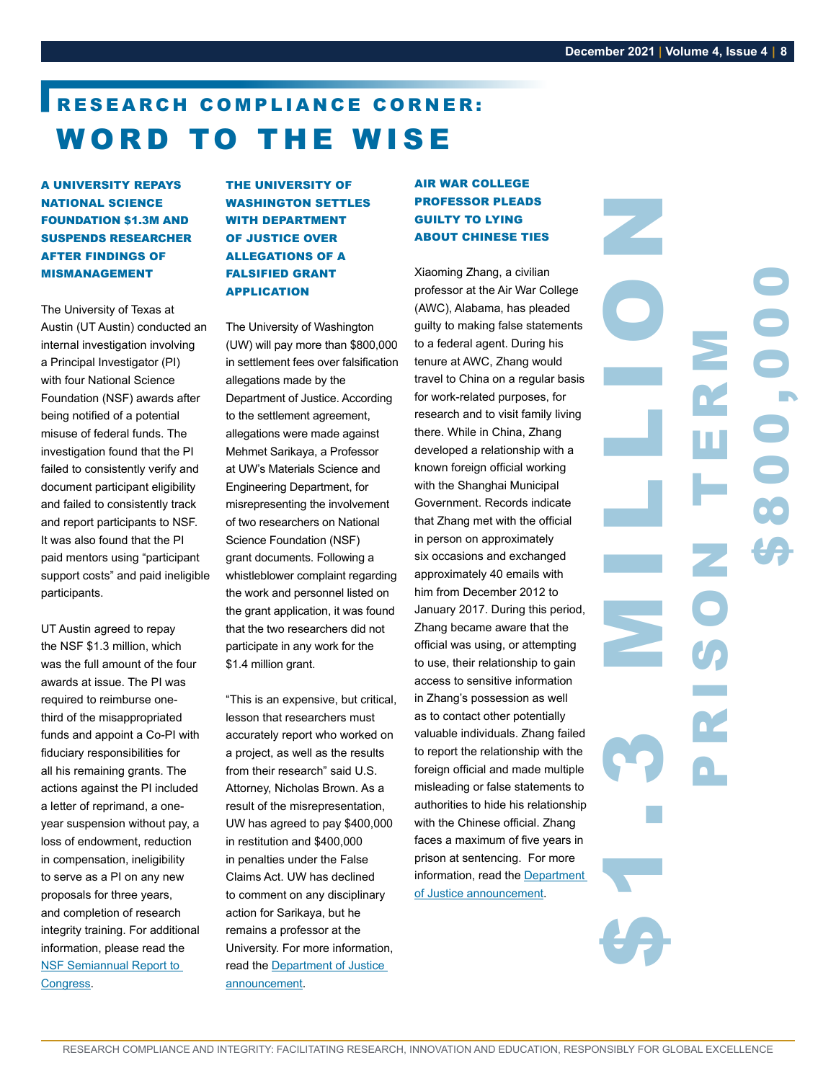\$800,000

## <span id="page-7-0"></span>RESEARCH COMPLIANCE CORNER: WORD TO THE WISE

A UNIVERSITY REPAYS NATIONAL SCIENCE FOUNDATION \$1.3M AND SUSPENDS RESEARCHER AFTER FINDINGS OF MISMANAGEMENT

The University of Texas at Austin (UT Austin) conducted an internal investigation involving a Principal Investigator (PI) with four National Science Foundation (NSF) awards after being notified of a potential misuse of federal funds. The investigation found that the PI failed to consistently verify and document participant eligibility and failed to consistently track and report participants to NSF. It was also found that the PI paid mentors using "participant support costs" and paid ineligible participants.

UT Austin agreed to repay the NSF \$1.3 million, which was the full amount of the four awards at issue. The PI was required to reimburse onethird of the misappropriated funds and appoint a Co-PI with fiduciary responsibilities for all his remaining grants. The actions against the PI included a letter of reprimand, a oneyear suspension without pay, a loss of endowment, reduction in compensation, ineligibility to serve as a PI on any new proposals for three years, and completion of research integrity training. For additional information, please read the [NSF Semiannual Report to](https://oig.nsf.gov/sites/default/files/reports/2021-10/NSF_OIG_SAR_64.pdf)  [Congress](https://oig.nsf.gov/sites/default/files/reports/2021-10/NSF_OIG_SAR_64.pdf).

THE UNIVERSITY OF WASHINGTON SETTLES WITH DEPARTMENT OF JUSTICE OVER ALLEGATIONS OF A FALSIFIED GRANT APPLICATION

The University of Washington (UW) will pay more than \$800,000 in settlement fees over falsification allegations made by the Department of Justice. According to the settlement agreement, allegations were made against Mehmet Sarikaya, a Professor at UW's Materials Science and Engineering Department, for misrepresenting the involvement of two researchers on National Science Foundation (NSF) grant documents. Following a whistleblower complaint regarding the work and personnel listed on the grant application, it was found that the two researchers did not participate in any work for the \$1.4 million grant.

"This is an expensive, but critical, lesson that researchers must accurately report who worked on a project, as well as the results from their research" said U.S. Attorney, Nicholas Brown. As a result of the misrepresentation, UW has agreed to pay \$400,000 in restitution and \$400,000 in penalties under the False Claims Act. UW has declined to comment on any disciplinary action for Sarikaya, but he remains a professor at the University. For more information, read the [Department of Justice](https://www.justice.gov/usao-wdwa/pr/doj-and-university-washington-resolve-claims-researcher-falsified-grant-application)  [announcement](https://www.justice.gov/usao-wdwa/pr/doj-and-university-washington-resolve-claims-researcher-falsified-grant-application).

#### AIR WAR COLLEGE PROFESSOR PLEADS GUILTY TO LYING ABOUT CHINESE TIES

Xiaoming Zhang, a civilian professor at the Air War College (AWC), Alabama, has pleaded guilty to making false statements to a federal agent. During his tenure at AWC, Zhang would travel to China on a regular basis for work-related purposes, for research and to visit family living there. While in China, Zhang developed a relationship with a known foreign official working with the Shanghai Municipal Government. Records indicate that Zhang met with the official in person on approximately six occasions and exchanged approximately 40 emails with him from December 2012 to January 2017. During this period, Zhang became aware that the official was using, or attempting to use, their relationship to gain access to sensitive information in Zhang's possession as well as to contact other potentially valuable individuals. Zhang failed to report the relationship with the foreign official and made multiple misleading or false statements to authorities to hide his relationship with the Chinese official. Zhang faces a maximum of five years in prison at sentencing. For more information, read the [Department](https://www.justice.gov/opa/pr/former-air-war-college-professor-pleads-guilty-making-false-statements-about-relationship)  [of Justice announcement](https://www.justice.gov/opa/pr/former-air-war-college-professor-pleads-guilty-making-false-statements-about-relationship).

ZON C.R.

PRISON TERM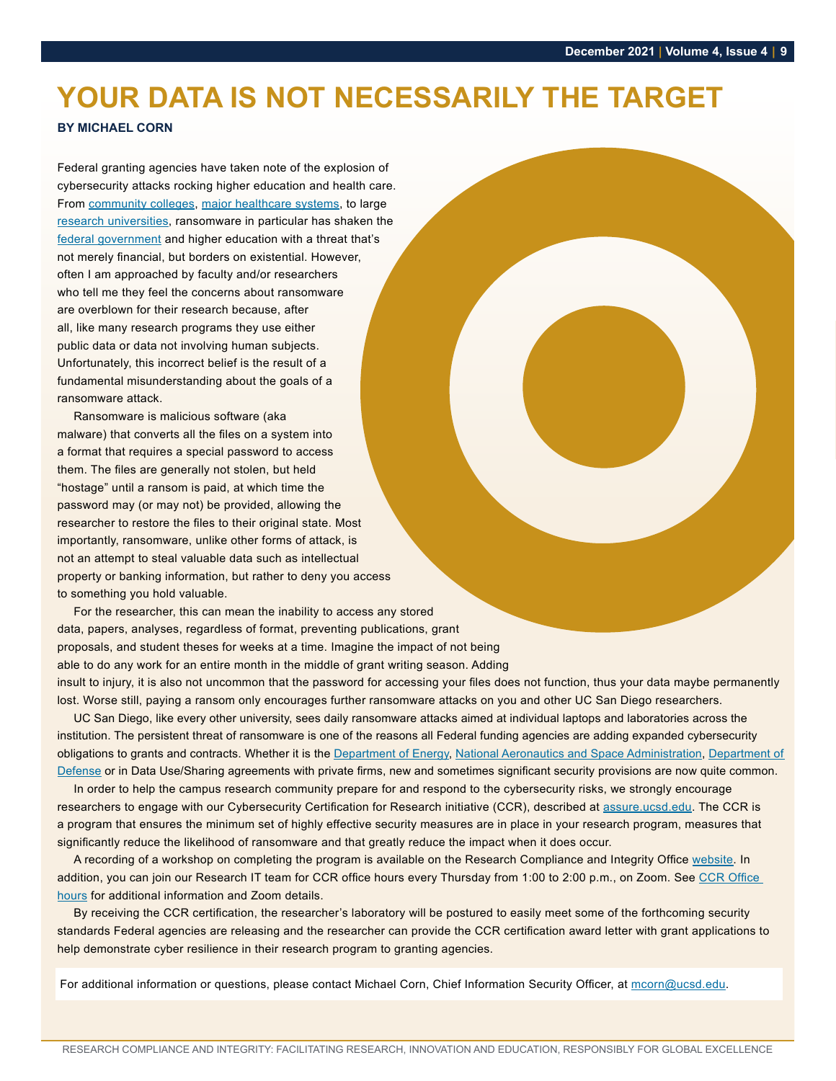## <span id="page-8-0"></span>**YOUR DATA IS NOT NECESSARILY THE TARGET**

#### **BY MICHAEL CORN**

Federal granting agencies have taken note of the explosion of cybersecurity attacks rocking higher education and health care. From [community colleges](https://www.thetelegraph.com/news/article/Lewis-Clark-remains-offline-after-cyber-attack-16657042.php), [major healthcare systems](https://www.hipaajournal.com/scripps-health-ransomware-attack-cost-113-million/), to large [research universities,](https://www.zdnet.com/article/michigan-state-university-hit-by-ransomware-gang/) ransomware in particular has shaken the [federal government](https://www.whitehouse.gov/briefing-room/statements-releases/2021/10/13/fact-sheet-ongoing-public-u-s-efforts-to-counter-ransomware/) and higher education with a threat that's not merely financial, but borders on existential. However, often I am approached by faculty and/or researchers who tell me they feel the concerns about ransomware are overblown for their research because, after all, like many research programs they use either public data or data not involving human subjects. Unfortunately, this incorrect belief is the result of a fundamental misunderstanding about the goals of a ransomware attack.

Ransomware is malicious software (aka malware) that converts all the files on a system into a format that requires a special password to access them. The files are generally not stolen, but held "hostage" until a ransom is paid, at which time the password may (or may not) be provided, allowing the researcher to restore the files to their original state. Most importantly, ransomware, unlike other forms of attack, is not an attempt to steal valuable data such as intellectual property or banking information, but rather to deny you access to something you hold valuable.

For the researcher, this can mean the inability to access any stored data, papers, analyses, regardless of format, preventing publications, grant proposals, and student theses for weeks at a time. Imagine the impact of not being able to do any work for an entire month in the middle of grant writing season. Adding insult to injury, it is also not uncommon that the password for accessing your files does not function, thus your data maybe permanently lost. Worse still, paying a ransom only encourages further ransomware attacks on you and other UC San Diego researchers.

UC San Diego, like every other university, sees daily ransomware attacks aimed at individual laptops and laboratories across the institution. The persistent threat of ransomware is one of the reasons all Federal funding agencies are adding expanded cybersecurity obligations to grants and contracts. Whether it is the [Department of Energy](https://www.federalregister.gov/documents/2021/11/24/2021-25669/request-for-information-on-does-cybersecurity-capability-maturity-model-c2m2-version-20-july-2021), [National Aeronautics and Space Ad](https://www.nasa.gov/content/controlled-unclassified-information)ministration, [Department of](https://www.acq.osd.mil/cmmc/)  [Defense](https://www.acq.osd.mil/cmmc/) or in Data Use/Sharing agreements with private firms, new and sometimes significant security provisions are now quite common.

In order to help the campus research community prepare for and respond to the cybersecurity risks, we strongly encourage researchers to engage with our Cybersecurity Certification for Research initiative (CCR), described at [assure.ucsd.edu](https://blink.ucsd.edu/technology/security/certification/index.html?). The CCR is a program that ensures the minimum set of highly effective security measures are in place in your research program, measures that significantly reduce the likelihood of ransomware and that greatly reduce the impact when it does occur.

A recording of a workshop on completing the program is available on the Research Compliance and Integrity Office [website](https://blink.ucsd.edu/sponsor/rci/research-compliance-hot-topics.html#October-20,-2021:-Cybersecurity). In addition, you can join our Research IT team for CCR office hours every Thursday from 1:00 to 2:00 p.m., on Zoom. See CCR Office [hours](https://collab.ucsd.edu/x/5o1gCQ) for additional information and Zoom details.

By receiving the CCR certification, the researcher's laboratory will be postured to easily meet some of the forthcoming security standards Federal agencies are releasing and the researcher can provide the CCR certification award letter with grant applications to help demonstrate cyber resilience in their research program to granting agencies.

For additional information or questions, please contact Michael Corn, Chief Information Security Officer, at mcorn@ucsd.edu.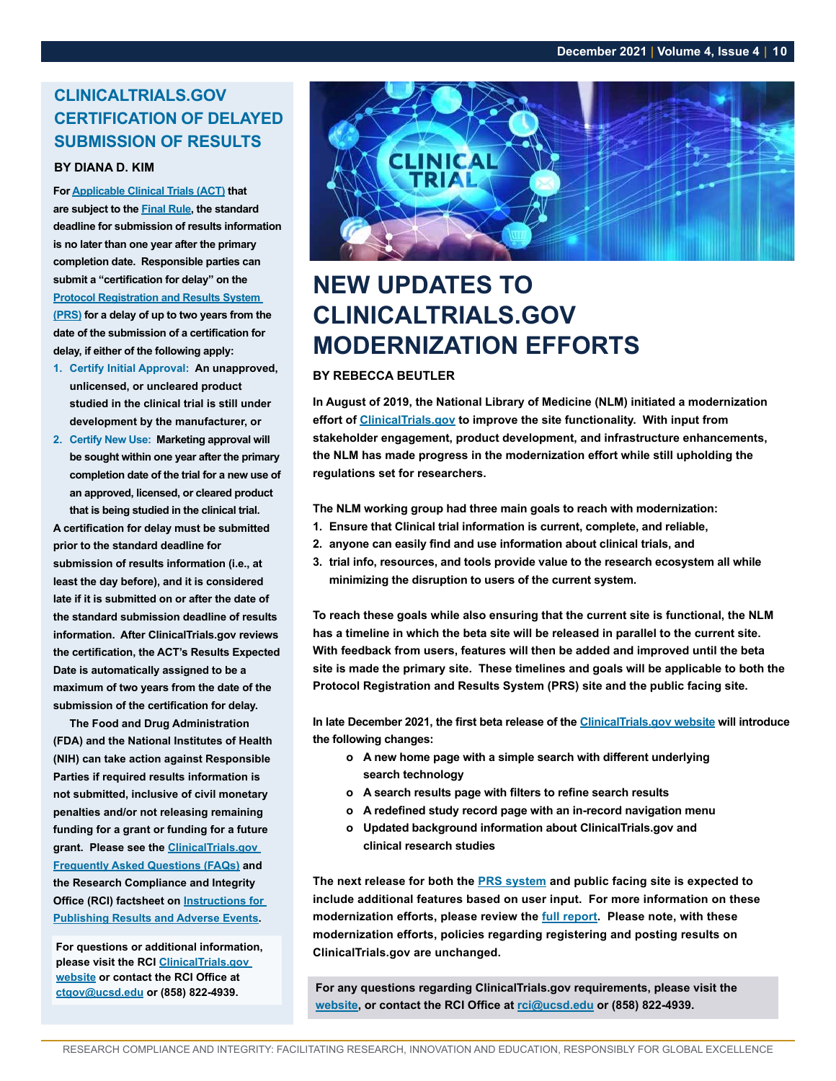#### <span id="page-9-0"></span>**CLINICALTRIALS.GOV CERTIFICATION OF DELAYED SUBMISSION OF RESULTS**

#### **BY DIANA D. KIM**

**For [Applicable Clinical Trials \(ACT\)](https://prsinfo.clinicaltrials.gov/ElaborationsOnDefinitions.pdf) that are subject to the [Final Rule](https://clinicaltrials.gov/ct2/manage-recs/fdaaa), the standard deadline for submission of results information is no later than one year after the primary completion date. Responsible parties can submit a "certification for delay" on the [Protocol Registration and Results System](https://register.clinicaltrials.gov/)** 

**[\(PRS\)](https://register.clinicaltrials.gov/) for a delay of up to two years from the date of the submission of a certification for delay, if either of the following apply:**

- **1. Certify Initial Approval: An unapproved, unlicensed, or uncleared product studied in the clinical trial is still under development by the manufacturer, or**
- **2. Certify New Use: Marketing approval will be sought within one year after the primary completion date of the trial for a new use of an approved, licensed, or cleared product that is being studied in the clinical trial.**

**A certification for delay must be submitted prior to the standard deadline for submission of results information (i.e., at least the day before), and it is considered late if it is submitted on or after the date of the standard submission deadline of results information. After ClinicalTrials.gov reviews the certification, the ACT's Results Expected Date is automatically assigned to be a maximum of two years from the date of the submission of the certification for delay.** 

**The Food and Drug Administration (FDA) and the National Institutes of Health (NIH) can take action against Responsible Parties if required results information is not submitted, inclusive of civil monetary penalties and/or not releasing remaining funding for a grant or funding for a future grant. Please see the [ClinicalTrials.gov](https://clinicaltrials.gov/ct2/manage-recs/faq#fr_43)  [Frequently Asked Questions \(FAQs\)](https://clinicaltrials.gov/ct2/manage-recs/faq#fr_43) and the Research Compliance and Integrity Office (RCI) factsheet on [Instructions for](https://blink.ucsd.edu/sponsor/rci/Factsheet-Instructions-for-Publishing-Results_2109132.pdf)  [Publishing Results and Adverse Events](https://blink.ucsd.edu/sponsor/rci/Factsheet-Instructions-for-Publishing-Results_2109132.pdf).** 

**For questions or additional information, please visit the RCI [ClinicalTrials.gov](https://blink.ucsd.edu/sponsor/rci/clinical-trials.html)  [website](https://blink.ucsd.edu/sponsor/rci/clinical-trials.html) or contact the RCI Office at [ctgov@ucsd.edu](mailto:ctgov%40ucsd.edu?subject=) or (858) 822-4939.**



## **NEW UPDATES TO CLINICALTRIALS.GOV MODERNIZATION EFFORTS**

#### **BY REBECCA BEUTLER**

**In August of 2019, the National Library of Medicine (NLM) initiated a modernization effort of [ClinicalTrials.gov](https://clinicaltrials.gov/) to improve the site functionality. With input from stakeholder engagement, product development, and infrastructure enhancements, the NLM has made progress in the modernization effort while still upholding the regulations set for researchers.** 

**The NLM working group had three main goals to reach with modernization:** 

- **1. Ensure that Clinical trial information is current, complete, and reliable,**
- **2. anyone can easily find and use information about clinical trials, and**
- **3. trial info, resources, and tools provide value to the research ecosystem all while minimizing the disruption to users of the current system.**

**To reach these goals while also ensuring that the current site is functional, the NLM has a timeline in which the beta site will be released in parallel to the current site. With feedback from users, features will then be added and improved until the beta site is made the primary site. These timelines and goals will be applicable to both the Protocol Registration and Results System (PRS) site and the public facing site.** 

**In late December 2021, the first beta release of the [ClinicalTrials.gov website](https://clinicaltrials.gov/) will introduce the following changes:**

- **o A new home page with a simple search with different underlying search technology**
- **o A search results page with filters to refine search results**
- **o A redefined study record page with an in-record navigation menu**
- **o Updated background information about ClinicalTrials.gov and clinical research studies**

**The next release for both the [PRS system](https://register.clinicaltrials.gov/prs/app/template/EditProtocol.vm?listmode=Edit&uid=U0004GXL&ts=245&sid=S0008Q7C&cx=dfjyv5) and public facing site is expected to include additional features based on user input. For more information on these modernization efforts, please review the [full report](https://www.nlm.nih.gov/od/bor/clinicaltrialswg/NLM_BOR_CTG_WG_Modernization_Update_Report.pdf?utm_medium=email&utm_source=govdelivery). Please note, with these modernization efforts, policies regarding registering and posting results on ClinicalTrials.gov are unchanged.**

**For any questions regarding ClinicalTrials.gov requirements, please visit the [website](https://blink.ucsd.edu/sponsor/rci/clinical-trials.html), or contact the RCI Office at [rci@ucsd.edu](mailto:rci%40ucsd.edu?subject=) or (858) 822-4939.**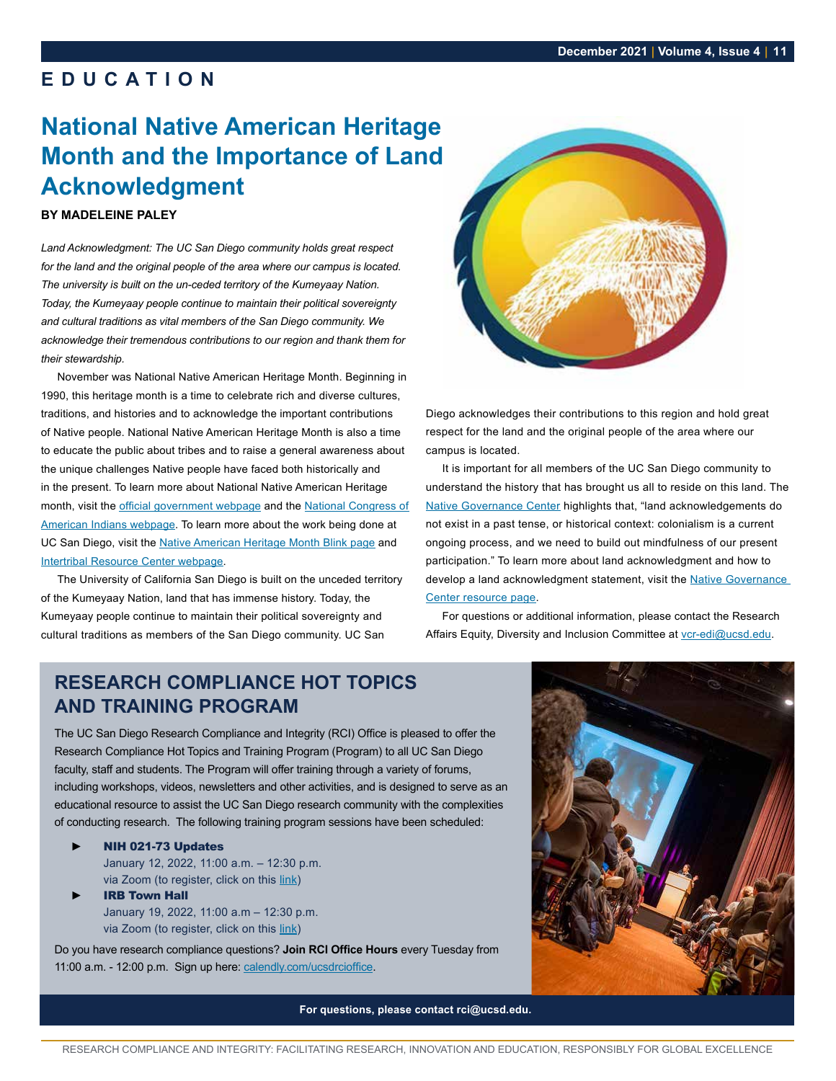## <span id="page-10-0"></span>**EDUCATION**

## **National Native American Heritage Month and the Importance of Land Acknowledgment**

#### **BY MADELEINE PALEY**

*Land Acknowledgment: The UC San Diego community holds great respect for the land and the original people of the area where our campus is located. The university is built on the un-ceded territory of the Kumeyaay Nation. Today, the Kumeyaay people continue to maintain their political sovereignty and cultural traditions as vital members of the San Diego community. We acknowledge their tremendous contributions to our region and thank them for their stewardship.*

November was National Native American Heritage Month. Beginning in 1990, this heritage month is a time to celebrate rich and diverse cultures, traditions, and histories and to acknowledge the important contributions of Native people. National Native American Heritage Month is also a time to educate the public about tribes and to raise a general awareness about the unique challenges Native people have faced both historically and in the present. To learn more about National Native American Heritage month, visit the [official government webpage](https://nativeamericanheritagemonth.gov/) and the [National Congress of](https://www.ncai.org/initiatives/native-american-heritage-month)  [American Indians webpage](https://www.ncai.org/initiatives/native-american-heritage-month). To learn more about the work being done at UC San Diego, visit the [Native American Heritage Month Blink page](https://blink.ucsd.edu/HR/policies/diversity/native-american/index.html) and [Intertribal Resource Center webpage](https://itrc.ucsd.edu/).

The University of California San Diego is built on the unceded territory of the Kumeyaay Nation, land that has immense history. Today, the Kumeyaay people continue to maintain their political sovereignty and cultural traditions as members of the San Diego community. UC San



Diego acknowledges their contributions to this region and hold great respect for the land and the original people of the area where our campus is located.

It is important for all members of the UC San Diego community to understand the history that has brought us all to reside on this land. The [Native Governance Center](https://nativegov.org/a-guide-to-indigenous-land-acknowledgment/) highlights that, "land acknowledgements do not exist in a past tense, or historical context: colonialism is a current ongoing process, and we need to build out mindfulness of our present participation." To learn more about land acknowledgment and how to develop a land acknowledgment statement, visit the Native Governance [Center resource page](https://nativegov.org/resources/).

For questions or additional information, please contact the Research Affairs Equity, Diversity and Inclusion Committee at [vcr-edi@ucsd.edu](mailto:vcr-edi%40ucsd.edu?subject=).

## **RESEARCH COMPLIANCE HOT TOPICS AND TRAINING PROGRAM**

The UC San Diego Research Compliance and Integrity (RCI) Office is pleased to offer the Research Compliance Hot Topics and Training Program (Program) to all UC San Diego faculty, staff and students. The Program will offer training through a variety of forums, including workshops, videos, newsletters and other activities, and is designed to serve as an educational resource to assist the UC San Diego research community with the complexities of conducting research. The following training program sessions have been scheduled:

- ► NIH 021-73 Updates January 12, 2022, 11:00 a.m. – 12:30 p.m. via Zoom (to register, click on this [link](https://uc.sumtotal.host/core/pillarRedirect?relyingParty=LM&url=app%2Fmanagement%2FLMS_ActDetails.aspx%3FActivityId%3D497963%26UserMode%3D0))
- **IRB Town Hall** January 19, 2022, 11:00 a.m – 12:30 p.m. via Zoom (to register, click on this [link](https://uc.sumtotal.host/core/pillarRedirect?relyingParty=LM&url=app%2Fmanagement%2FLMS_ActDetails.aspx%3FActivityId%3D500372%26UserMode%3D0))

Do you have research compliance questions? **Join RCI Office Hours** every Tuesday from 11:00 a.m. - 12:00 p.m. Sign up here: [calendly.com/ucsdrcioffice](https://calendly.com/ucsdrcioffice).

**For questions, please contact rci@ucsd.edu.**

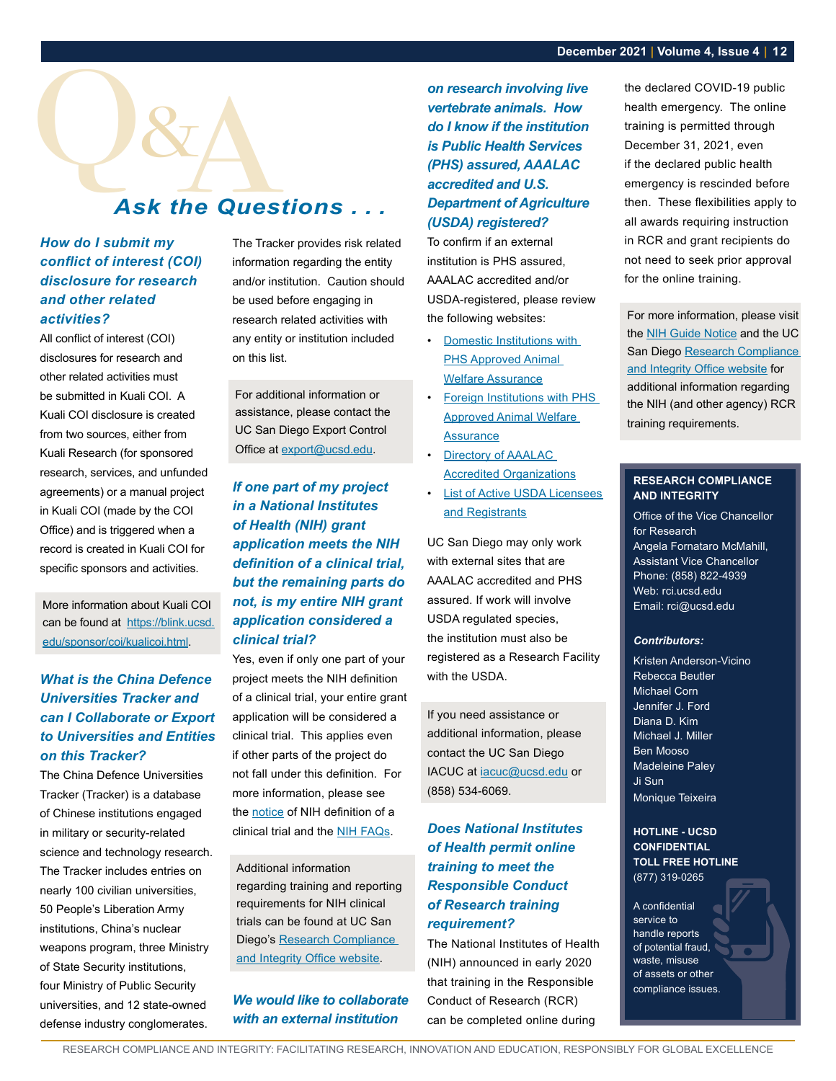## <span id="page-11-0"></span>Q **Ask the Questions ...**

#### *How do I submit my conflict of interest (COI) disclosure for research and other related activities?*

All conflict of interest (COI) disclosures for research and other related activities must be submitted in Kuali COI. A Kuali COI disclosure is created from two sources, either from Kuali Research (for sponsored research, services, and unfunded agreements) or a manual project in Kuali COI (made by the COI Office) and is triggered when a record is created in Kuali COI for specific sponsors and activities.

More information about Kuali COI can be found at [https://blink.ucsd.](https://blink.ucsd.edu/sponsor/coi/kualicoi.html) [edu/sponsor/coi/kualicoi.html](https://blink.ucsd.edu/sponsor/coi/kualicoi.html).

#### *What is the China Defence Universities Tracker and can I Collaborate or Export to Universities and Entities on this Tracker?*

The China Defence Universities Tracker (Tracker) is a database of Chinese institutions engaged in military or security-related science and technology research. The Tracker includes entries on nearly 100 civilian universities, 50 People's Liberation Army institutions, China's nuclear weapons program, three Ministry of State Security institutions, four Ministry of Public Security universities, and 12 state-owned defense industry conglomerates.

The Tracker provides risk related information regarding the entity and/or institution. Caution should be used before engaging in research related activities with any entity or institution included on this list.

For additional information or assistance, please contact the UC San Diego Export Control Office at [export@ucsd.edu](mailto:export%40ucsd.edu?subject=).

*If one part of my project in a National Institutes of Health (NIH) grant application meets the NIH definition of a clinical trial, but the remaining parts do not, is my entire NIH grant application considered a clinical trial?*

Yes, even if only one part of your project meets the NIH definition of a clinical trial, your entire grant application will be considered a clinical trial. This applies even if other parts of the project do not fall under this definition. For more information, please see the [notice](https://grants.nih.gov/grants/guide/notice-files/NOT-OD-15-015.html) of NIH definition of a clinical trial and the [NIH FAQs.](https://grants.nih.gov/faqs#/clinical-trial-definition.htm?anchor=question56498)

Additional information regarding training and reporting requirements for NIH clinical trials can be found at UC San Diego's Research Compliance [and Integrity Office website](https://blink.ucsd.edu/sponsor/rci/index.html).

#### *We would like to collaborate with an external institution*

*on research involving live vertebrate animals. How do I know if the institution is Public Health Services (PHS) assured, AAALAC accredited and U.S. Department of Agriculture (USDA) registered?*

To confirm if an external institution is PHS assured, AAALAC accredited and/or USDA-registered, please review the following websites:

- [Domestic Institutions with](https://olaw.nih.gov/assured/app/index.html#DOMESTIC)  [PHS Approved Animal](https://olaw.nih.gov/assured/app/index.html#DOMESTIC)  [Welfare Assurance](https://olaw.nih.gov/assured/app/index.html#DOMESTIC)
- **Foreign Institutions with PHS** [Approved Animal Welfare](https://olaw.nih.gov/assured/app/index.html#FOREIGN)  **[Assurance](https://olaw.nih.gov/assured/app/index.html#FOREIGN)**
- Directory of AAALAC [Accredited Organizations](https://www.aaalac.org/accreditation-program/directory/directory-of-accredited-organizations-search-result/)
- [List of Active USDA Licensees](https://www.aphis.usda.gov/animal_welfare/downloads/List-of-Active-Licensees-and-Registrants.pdf)  [and Registrants](https://www.aphis.usda.gov/animal_welfare/downloads/List-of-Active-Licensees-and-Registrants.pdf)

UC San Diego may only work with external sites that are AAALAC accredited and PHS assured. If work will involve USDA regulated species, the institution must also be registered as a Research Facility with the USDA.

If you need assistance or additional information, please contact the UC San Diego IACUC at [iacuc@ucsd.edu](mailto:iacuc%40ucsd.edu?subject=) or (858) 534-6069.

#### *Does National Institutes of Health permit online training to meet the Responsible Conduct of Research training requirement?*

The National Institutes of Health (NIH) announced in early 2020 that training in the Responsible Conduct of Research (RCR) can be completed online during

the declared COVID-19 public health emergency. The online training is permitted through December 31, 2021, even if the declared public health emergency is rescinded before then. These flexibilities apply to all awards requiring instruction in RCR and grant recipients do not need to seek prior approval for the online training.

For more information, please visit the [NIH Guide Notice](https://grants.nih.gov/grants/guide/notice-files/NOT-OD-21-152.html) and the UC San Diego [Research Compliance](https://blink.ucsd.edu/sponsor/rci/responsible-conduct.html)  [and Integrity Office website](https://blink.ucsd.edu/sponsor/rci/responsible-conduct.html) for additional information regarding the NIH (and other agency) RCR training requirements.

#### **RESEARCH COMPLIANCE AND INTEGRITY**

Office of the Vice Chancellor for Research Angela Fornataro McMahill, Assistant Vice Chancellor Phone: (858) 822-4939 Web: rci.ucsd.edu Email: rci@ucsd.edu

#### *Contributors:*

Kristen Anderson-Vicino Rebecca Beutler Michael Corn Jennifer J. Ford Diana D. Kim Michael J. Miller Ben Mooso Madeleine Paley Ji Sun Monique Teixeira

#### **HOTLINE - UCSD CONFIDENTIAL TOLL FREE HOTLINE** (877) 319-0265

A confidential service to handle reports of potential fraud, waste, misuse of assets or other compliance issues.